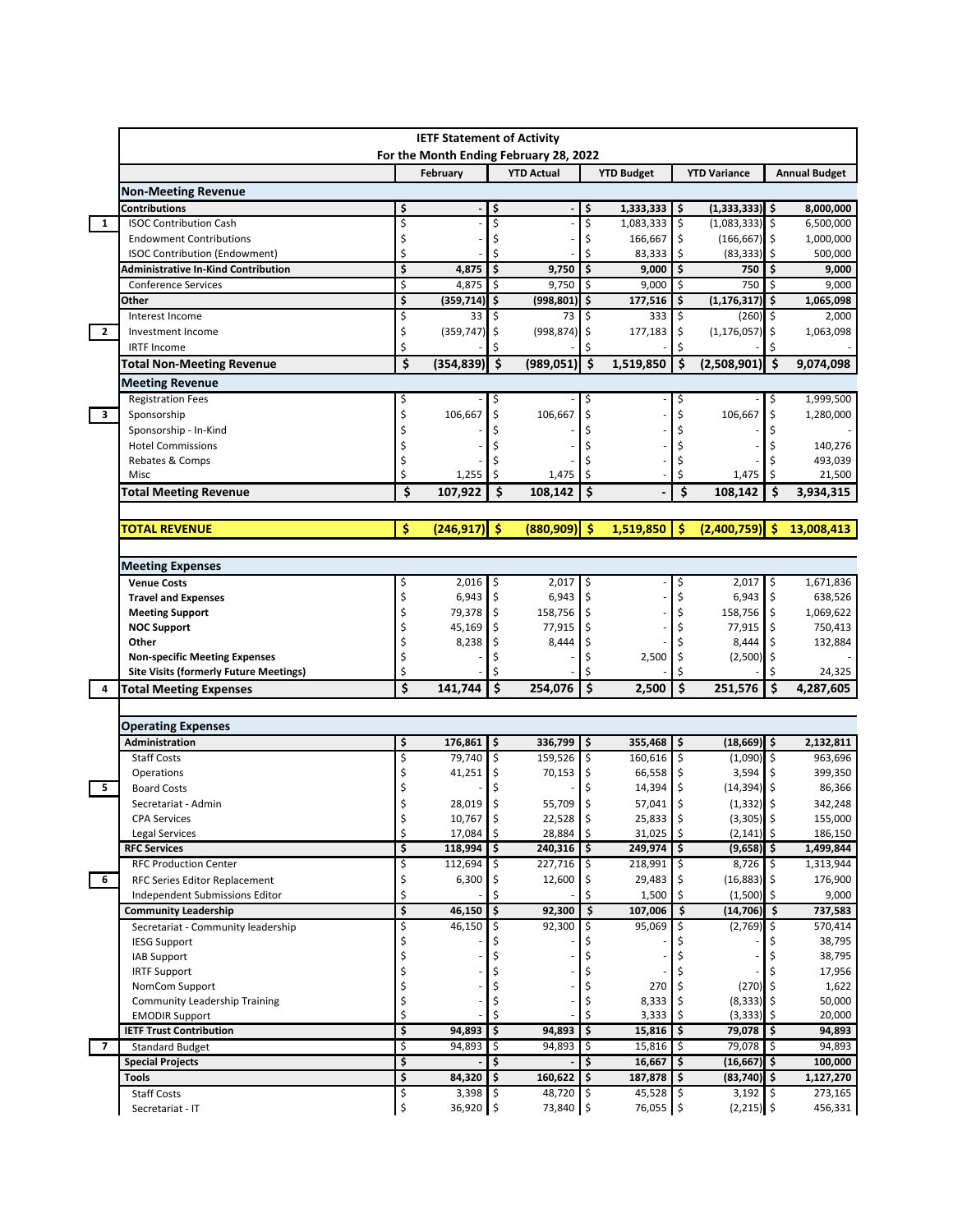|                         | <b>IETF Statement of Activity</b><br>For the Month Ending February 28, 2022 |          |                 |                    |                   |               |                   |      |                               |                     |                      |
|-------------------------|-----------------------------------------------------------------------------|----------|-----------------|--------------------|-------------------|---------------|-------------------|------|-------------------------------|---------------------|----------------------|
|                         |                                                                             |          | February        |                    | <b>YTD Actual</b> |               | <b>YTD Budget</b> |      | <b>YTD Variance</b>           |                     |                      |
|                         | <b>Non-Meeting Revenue</b>                                                  |          |                 |                    |                   |               |                   |      |                               |                     | <b>Annual Budget</b> |
|                         | <b>Contributions</b>                                                        | \$       |                 | \$                 |                   | \$            | 1,333,333         | I\$  | $(1,333,333)$ \$              |                     | 8,000,000            |
| 1                       | <b>ISOC Contribution Cash</b>                                               | \$       |                 |                    |                   | \$            | $1,083,333$ \$    |      | $(1,083,333)$ \$              |                     | 6,500,000            |
|                         | <b>Endowment Contributions</b>                                              | \$       |                 |                    |                   | \$            | 166,667           | \$   | $(166, 667)$ \$               |                     | 1,000,000            |
|                         | <b>ISOC Contribution (Endowment)</b>                                        | \$       |                 |                    |                   | Ś             | 83,333            | Ś.   | (83, 333)                     | -Ś                  | 500,000              |
|                         | <b>Administrative In-Kind Contribution</b>                                  | \$       | 4,875           | \$                 | 9,750             | \$            | 9,000             | Ŝ    | 750                           | \$                  | 9,000                |
|                         | <b>Conference Services</b>                                                  | \$       | 4,875           | \$                 | 9,750             | \$            | 9,000             | \$   | 750                           | \$                  | 9,000                |
|                         | Other                                                                       | \$       | (359, 714)      | \$                 | (998, 801)        | \$            | 177,516           | \$   | (1, 176, 317)                 | \$                  | 1,065,098            |
|                         | Interest Income                                                             | \$       | 33              | Ś                  | 73                | \$            | 333               | \$   | $(260)$ \$                    |                     | 2,000                |
| $\overline{2}$          | Investment Income                                                           | \$       | $(359, 747)$ \$ |                    | (998, 874)        | \$            | 177,183           | \$   | $(1, 176, 057)$ \$            |                     | 1,063,098            |
|                         | <b>IRTF Income</b>                                                          | Ś        |                 |                    |                   |               |                   | Ś    |                               |                     |                      |
|                         | <b>Total Non-Meeting Revenue</b>                                            | Ś        | (354, 839)      | $\dot{\mathsf{s}}$ | (989, 051)        | \$            | 1,519,850         | \$   | (2,508,901)                   | -\$                 | 9,074,098            |
|                         | <b>Meeting Revenue</b>                                                      |          |                 |                    |                   |               |                   |      |                               |                     |                      |
|                         | <b>Registration Fees</b>                                                    | \$       |                 |                    |                   | \$            |                   | \$   |                               | \$                  | 1,999,500            |
| $\mathbf{3}$            | Sponsorship                                                                 | \$       | 106,667         | Ś                  | 106,667           | \$            |                   | Ś    | 106,667                       | \$                  | 1,280,000            |
|                         | Sponsorship - In-Kind                                                       | \$       |                 |                    |                   |               |                   | Ś    |                               |                     |                      |
|                         | <b>Hotel Commissions</b>                                                    | \$       |                 |                    |                   |               |                   |      |                               |                     | 140,276              |
|                         | Rebates & Comps                                                             | \$       |                 |                    |                   |               |                   |      |                               |                     | 493,039              |
|                         | Misc                                                                        | Ś        | 1,255           |                    | 1,475             |               |                   |      | 1,475                         |                     | 21,500               |
|                         | <b>Total Meeting Revenue</b>                                                | \$       | 107,922         | \$                 | 108,142           | \$            |                   | \$   | 108.142                       | Ŝ.                  | 3,934,315            |
|                         |                                                                             |          |                 |                    |                   |               |                   |      |                               |                     |                      |
|                         | <b>TOTAL REVENUE</b>                                                        | \$       | $(246, 917)$ \$ |                    | (880, 909)        | -Ŝ            | 1,519,850         | \$   | $(2,400,759)$ \$              |                     | 13,008,413           |
|                         | <b>Meeting Expenses</b>                                                     |          |                 |                    |                   |               |                   |      |                               |                     |                      |
|                         | <b>Venue Costs</b>                                                          | \$       | 2,016           | \$                 | 2,017             | \$            |                   | Ś    | 2,017                         | \$                  | 1,671,836            |
|                         | <b>Travel and Expenses</b>                                                  | \$       | 6,943           | \$                 | $6,943$ \$        |               |                   | Ś    | 6,943                         | -\$                 | 638,526              |
|                         | <b>Meeting Support</b>                                                      | \$       | 79,378          | \$                 | 158,756           | \$            |                   | Ś    | 158,756 \$                    |                     | 1,069,622            |
|                         | <b>NOC Support</b>                                                          | \$       | 45,169          | \$                 | 77,915            | \$            |                   | \$   | 77,915                        | -S                  | 750,413              |
|                         | Other                                                                       | \$       | 8,238           |                    | 8,444             | \$            |                   |      | 8,444                         |                     | 132,884              |
|                         | <b>Non-specific Meeting Expenses</b>                                        | \$<br>Ś  |                 |                    |                   |               | 2,500             | \$   | $(2,500)$ \$                  |                     |                      |
| 4                       | <b>Site Visits (formerly Future Meetings)</b>                               | \$       | 141,744         | \$                 | 254,076           | \$            | 2,500             | \$   | 251,576                       | $\ddot{\bm{\zeta}}$ | 24,325<br>4,287,605  |
|                         | <b>Total Meeting Expenses</b>                                               |          |                 |                    |                   |               |                   |      |                               |                     |                      |
|                         | <b>Operating Expenses</b>                                                   |          |                 |                    |                   |               |                   |      |                               |                     |                      |
|                         | Administration                                                              | \$       | 176,861         | \$                 | 336,799           | \$            | 355,468           | \$   | $(18,669)$ \$                 |                     | 2,132,811            |
|                         | <b>Staff Costs</b>                                                          | \$       | 79,740          | \$                 | 159,526 \$        |               | 160,616 \$        |      | $(1,090)$ \$                  |                     | 963,696              |
|                         | Operations                                                                  | \$       | 41,251          | \$                 | $70,153$ \$       |               | 66,558            | \$   | 3,594                         |                     | 399,350              |
| 5                       | <b>Board Costs</b>                                                          | Ś        |                 |                    |                   |               | 14,394            | \$   | $(14, 394)$ \$                |                     | 86,366               |
|                         | Secretariat - Admin                                                         | \$       | 28,019          | ۱\$                | 55,709            | \$ ا          | 57,041            | \$   | $(1,332)$ \$                  |                     | 342,248              |
|                         | <b>CPA</b> Services                                                         |          | 10,767          | $\hat{\zeta}$      | 22,528            | $\hat{\zeta}$ | 25,833            | \$   | (3, 305)                      | Ŝ.                  | 155,000              |
|                         | Legal Services                                                              | \$       | 17,084 \$       |                    | 28,884 \$         |               | 31,025 \$         |      | $(2, 141)$ \$                 |                     | 186,150              |
|                         | <b>RFC Services</b>                                                         | \$       | 118,994         |                    | 240,316           | \$            | 249,974           |      | $(9,658)$ \$                  |                     | 1,499,844            |
|                         | <b>RFC Production Center</b>                                                | \$       | 112,694         |                    | 227,716 \$        |               | $218,991$ \$      |      | 8,726 \$                      |                     | 1,313,944            |
| 6                       | RFC Series Editor Replacement                                               | \$<br>\$ | 6,300           | Ş                  | $12,600$ \$       |               | 29,483            |      | $(16,883)$ \$                 |                     | 176,900              |
|                         | Independent Submissions Editor                                              | \$       |                 | \$                 | 92,300            | \$            | 1,500             | \$   | $(1,500)$ \$<br>$(14,706)$ \$ |                     | 9,000<br>737,583     |
|                         | <b>Community Leadership</b><br>Secretariat - Community leadership           |          | 46,150          |                    |                   |               | 107,006           |      |                               |                     |                      |
|                         | <b>IESG Support</b>                                                         | \$<br>\$ | 46,150          | Ş                  | 92,300            | \$            | 95,069            | -S   | $(2,769)$ \$                  |                     | 570,414<br>38,795    |
|                         | IAB Support                                                                 | \$       |                 |                    |                   |               |                   |      |                               |                     | 38,795               |
|                         | <b>IRTF Support</b>                                                         | \$       |                 |                    |                   |               |                   |      |                               |                     | 17,956               |
|                         | NomCom Support                                                              | \$       |                 |                    |                   | \$            | 270               |      | $(270)$ \$                    |                     | 1,622                |
|                         | Community Leadership Training                                               | \$       |                 |                    |                   | \$            | 8,333             |      | $(8,333)$ \$                  |                     | 50,000               |
|                         | <b>EMODIR Support</b>                                                       | \$       |                 |                    |                   | \$            | 3,333             |      | $(3,333)$ \$                  |                     | 20,000               |
|                         | <b>IETF Trust Contribution</b>                                              | \$       | 94,893          | \$                 | 94,893            | \$            | $15,816$ \$       |      | 79,078 \$                     |                     | 94,893               |
| $\overline{\mathbf{z}}$ | <b>Standard Budget</b>                                                      | \$       | 94,893          | \$                 | 94,893            | ۱\$           | 15,816            | l \$ | 79,078 \$                     |                     | 94,893               |
|                         | <b>Special Projects</b>                                                     | \$       |                 | \$                 |                   | \$            | 16,667            | Ś.   | $(16,667)$ \$                 |                     | 100,000              |
|                         | Tools                                                                       | \$       | 84,320          | \$                 | 160,622 \$        |               | 187,878           | \$   | $(83,740)$ \$                 |                     | 1,127,270            |
|                         | <b>Staff Costs</b>                                                          | \$       | $3,398$ \$      |                    | 48,720 \$         |               | $45,528$ \$       |      | $3,192$ \$                    |                     | 273,165              |
|                         | Secretariat - IT                                                            | \$       | 36,920          | I \$               | 73,840 \$         |               | 76,055 \$         |      | $(2,215)$ \$                  |                     | 456,331              |